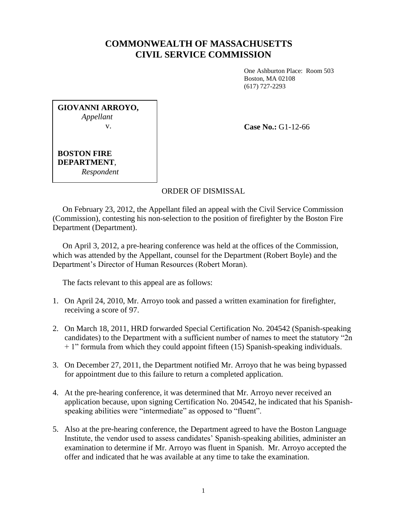## **COMMONWEALTH OF MASSACHUSETTS CIVIL SERVICE COMMISSION**

One Ashburton Place: Room 503 Boston, MA 02108 (617) 727-2293

**GIOVANNI ARROYO,** *Appellant* v.

**Case No.:** G1-12-66

**BOSTON FIRE DEPARTMENT**, *Respondent*

## ORDER OF DISMISSAL

 On February 23, 2012, the Appellant filed an appeal with the Civil Service Commission (Commission), contesting his non-selection to the position of firefighter by the Boston Fire Department (Department).

 On April 3, 2012, a pre-hearing conference was held at the offices of the Commission, which was attended by the Appellant, counsel for the Department (Robert Boyle) and the Department's Director of Human Resources (Robert Moran).

The facts relevant to this appeal are as follows:

- 1. On April 24, 2010, Mr. Arroyo took and passed a written examination for firefighter, receiving a score of 97.
- 2. On March 18, 2011, HRD forwarded Special Certification No. 204542 (Spanish-speaking candidates) to the Department with a sufficient number of names to meet the statutory "2n + 1" formula from which they could appoint fifteen (15) Spanish-speaking individuals.
- 3. On December 27, 2011, the Department notified Mr. Arroyo that he was being bypassed for appointment due to this failure to return a completed application.
- 4. At the pre-hearing conference, it was determined that Mr. Arroyo never received an application because, upon signing Certification No. 204542, he indicated that his Spanishspeaking abilities were "intermediate" as opposed to "fluent".
- 5. Also at the pre-hearing conference, the Department agreed to have the Boston Language Institute, the vendor used to assess candidates' Spanish-speaking abilities, administer an examination to determine if Mr. Arroyo was fluent in Spanish. Mr. Arroyo accepted the offer and indicated that he was available at any time to take the examination.